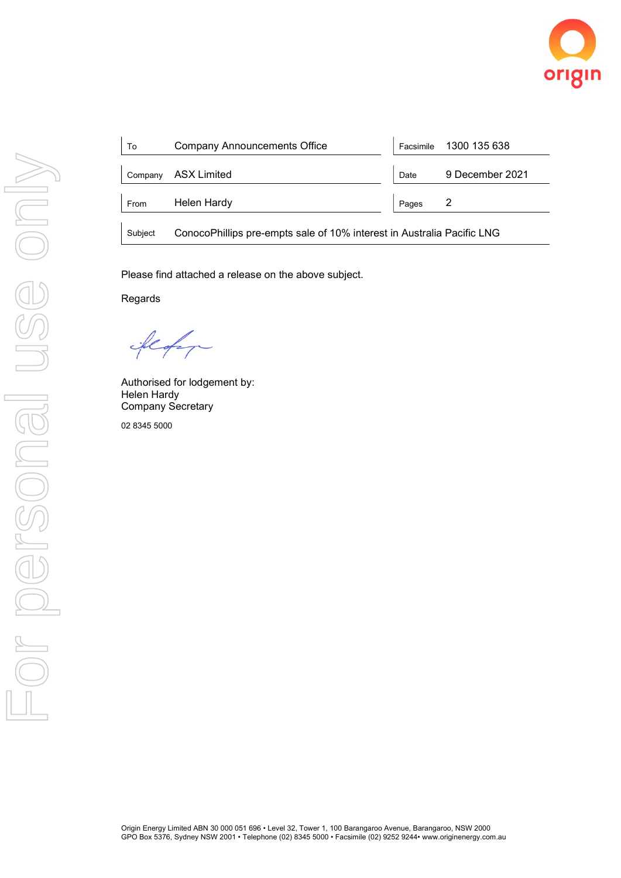

| To      | Company Announcements Office                                           |       | Facsimile 1300 135 638 |
|---------|------------------------------------------------------------------------|-------|------------------------|
| Company | ASX Limited                                                            | Date  | 9 December 2021        |
| From    | Helen Hardy                                                            | Pages |                        |
| Subject | ConocoPhillips pre-empts sale of 10% interest in Australia Pacific LNG |       |                        |

Please find attached a release on the above subject.

Regards

floor

Authorised for lodgement by: Helen Hardy Company Secretary

02 8345 5000